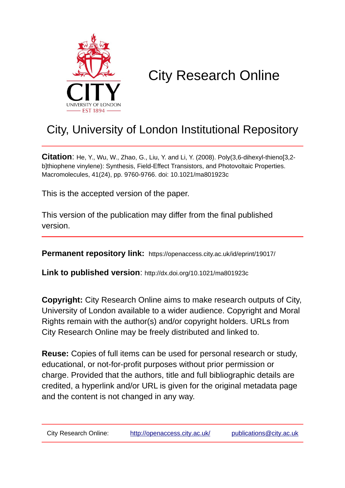

# City Research Online

## City, University of London Institutional Repository

**Citation**: He, Y., Wu, W., Zhao, G., Liu, Y. and Li, Y. (2008). Poly(3,6-dihexyl-thieno[3,2 b]thiophene vinylene): Synthesis, Field-Effect Transistors, and Photovoltaic Properties. Macromolecules, 41(24), pp. 9760-9766. doi: 10.1021/ma801923c

This is the accepted version of the paper.

This version of the publication may differ from the final published version.

**Permanent repository link:** https://openaccess.city.ac.uk/id/eprint/19017/

**Link to published version**: http://dx.doi.org/10.1021/ma801923c

**Copyright:** City Research Online aims to make research outputs of City, University of London available to a wider audience. Copyright and Moral Rights remain with the author(s) and/or copyright holders. URLs from City Research Online may be freely distributed and linked to.

**Reuse:** Copies of full items can be used for personal research or study, educational, or not-for-profit purposes without prior permission or charge. Provided that the authors, title and full bibliographic details are credited, a hyperlink and/or URL is given for the original metadata page and the content is not changed in any way.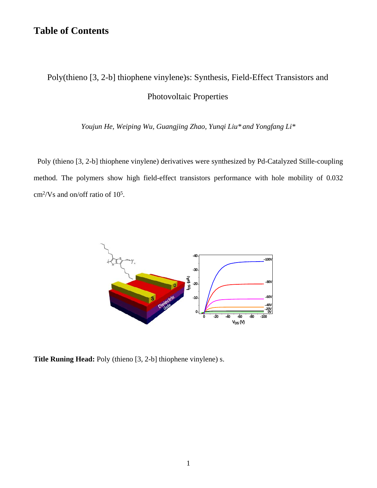## **Table of Contents**

## Poly(thieno [3, 2-b] thiophene vinylene)s: Synthesis, Field-Effect Transistors and Photovoltaic Properties

*Youjun He, Weiping Wu, Guangjing Zhao, Yunqi Liu\* and Yongfang Li\**

Poly (thieno [3, 2-b] thiophene vinylene) derivatives were synthesized by Pd-Catalyzed Stille-coupling method. The polymers show high field-effect transistors performance with hole mobility of 0.032  $\text{cm}^2/\text{Vs}$  and on/off ratio of 10<sup>5</sup>.



**Title Runing Head:** Poly (thieno [3, 2-b] thiophene vinylene) s.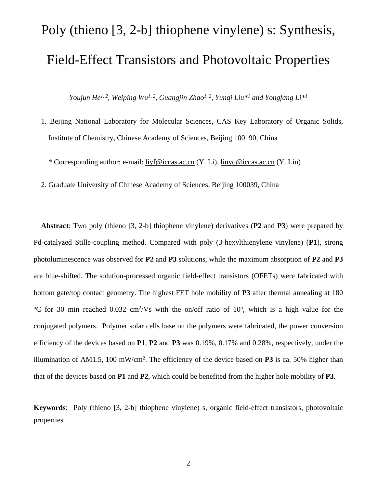# Poly (thieno [3, 2-b] thiophene vinylene) s: Synthesis, Field-Effect Transistors and Photovoltaic Properties

*Youjun He1, 2, Weiping Wu1, 2, Guangjin Zhao1, 2, Yunqi Liu\*1 and Yongfang Li\*1*

- 1. Beijing National Laboratory for Molecular Sciences, CAS Key Laboratory of Organic Solids, Institute of Chemistry, Chinese Academy of Sciences, Beijing 100190, China
	- \* Corresponding author: e-mail: [liyf@iccas.ac.cn](mailto:liyf@iccas.ac.cn) (Y. Li), [liuyq@iccas.ac.cn](mailto:liuyq@iccas.ac.cn) (Y. Liu)

2. Graduate University of Chinese Academy of Sciences, Beijing 100039, China

**Abstract**: Two poly (thieno [3, 2-b] thiophene vinylene) derivatives (**P2** and **P3**) were prepared by Pd-catalyzed Stille-coupling method. Compared with poly (3-hexylthienylene vinylene) (**P1**), strong photoluminescence was observed for **P2** and **P3** solutions, while the maximum absorption of **P2** and **P3**  are blue-shifted. The solution-processed organic field-effect transistors (OFETs) were fabricated with bottom gate/top contact geometry. The highest FET hole mobility of **P3** after thermal annealing at 180 <sup>o</sup>C for 30 min reached 0.032 cm<sup>2</sup>/Vs with the on/off ratio of  $10^5$ , which is a high value for the conjugated polymers. Polymer solar cells base on the polymers were fabricated, the power conversion efficiency of the devices based on **P1**, **P2** and **P3** was 0.19%, 0.17% and 0.28%, respectively, under the illumination of AM1.5, 100 mW/cm<sup>2</sup>. The efficiency of the device based on **P3** is ca. 50% higher than that of the devices based on **P1** and **P2**, which could be benefited from the higher hole mobility of **P3**.

**Keywords**: Poly (thieno [3, 2-b] thiophene vinylene) s, organic field-effect transistors, photovoltaic properties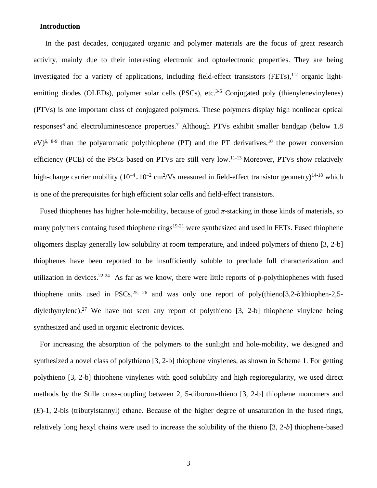#### **Introduction**

 In the past decades, conjugated organic and polymer materials are the focus of great research activity, mainly due to their interesting electronic and optoelectronic properties. They are being investigated for a variety of applications, including field-effect transistors (FETs),<sup>1-2</sup> organic lightemitting diodes (OLEDs), polymer solar cells (PSCs), etc.<sup>3-5</sup> Conjugated poly (thienylenevinylenes) (PTVs) is one important class of conjugated polymers. These polymers display high nonlinear optical responses<sup>6</sup> and electroluminescence properties.<sup>7</sup> Although PTVs exhibit smaller bandgap (below 1.8  $eV$ <sup>6, 8-9</sup> than the polyaromatic polythiophene (PT) and the PT derivatives,<sup>10</sup> the power conversion efficiency (PCE) of the PSCs based on PTVs are still very low.11-13 Moreover, PTVs show relatively high-charge carrier mobility (10<sup>-4</sup>-10<sup>-2</sup> cm<sup>2</sup>/Vs measured in field-effect transistor geometry)<sup>14-18</sup> which is one of the prerequisites for high efficient solar cells and field-effect transistors.

Fused thiophenes has higher hole-mobility, because of good  $\pi$ -stacking in those kinds of materials, so many polymers containg fused thiophene rings<sup>19-21</sup> were synthesized and used in FETs. Fused thiophene oligomers display generally low solubility at room temperature, and indeed polymers of thieno [3, 2-b] thiophenes have been reported to be insufficiently soluble to preclude full characterization and utilization in devices.<sup>22-24</sup> As far as we know, there were little reports of p-polythiophenes with fused thiophene units used in PSCs,<sup>25, 26</sup> and was only one report of poly(thieno[3,2-*b*]thiophen-2,5diylethynylene).<sup>27</sup> We have not seen any report of polythieno [3, 2-b] thiophene vinylene being synthesized and used in organic electronic devices.

For increasing the absorption of the polymers to the sunlight and hole-mobility, we designed and synthesized a novel class of polythieno [3, 2-b] thiophene vinylenes, as shown in Scheme 1. For getting polythieno [3, 2-b] thiophene vinylenes with good solubility and high regioregularity, we used direct methods by the Stille cross-coupling between 2, 5-diborom-thieno [3, 2-b] thiophene monomers and (*E*)-1, 2-bis (tributylstannyl) ethane. Because of the higher degree of unsaturation in the fused rings, relatively long hexyl chains were used to increase the solubility of the thieno [3, 2-*b*] thiophene-based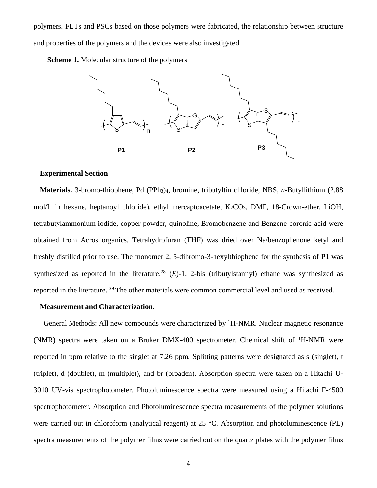polymers. FETs and PSCs based on those polymers were fabricated, the relationship between structure and properties of the polymers and the devices were also investigated.

**Scheme 1.** Molecular structure of the polymers.



#### **Experimental Section**

**Materials.** 3-bromo-thiophene, Pd (PPh3)4, bromine, tributyltin chloride, NBS, *n*-Butyllithium (2.88 mol/L in hexane, heptanoyl chloride), ethyl mercaptoacetate,  $K_2CO_3$ , DMF, 18-Crown-ether, LiOH, tetrabutylammonium iodide, copper powder, quinoline, Bromobenzene and Benzene boronic acid were obtained from Acros organics. Tetrahydrofuran (THF) was dried over Na/benzophenone ketyl and freshly distilled prior to use. The monomer 2, 5-dibromo-3-hexylthiophene for the synthesis of **P1** was synthesized as reported in the literature.<sup>28</sup>  $(E)$ -1, 2-bis (tributylstannyl) ethane was synthesized as reported in the literature. 29 The other materials were common commercial level and used as received.

#### **Measurement and Characterization.**

General Methods: All new compounds were characterized by <sup>1</sup>H-NMR. Nuclear magnetic resonance (NMR) spectra were taken on a Bruker DMX-400 spectrometer. Chemical shift of 1H-NMR were reported in ppm relative to the singlet at 7.26 ppm. Splitting patterns were designated as s (singlet), t (triplet), d (doublet), m (multiplet), and br (broaden). Absorption spectra were taken on a Hitachi U-3010 UV-vis spectrophotometer. Photoluminescence spectra were measured using a Hitachi F-4500 spectrophotometer. Absorption and Photoluminescence spectra measurements of the polymer solutions were carried out in chloroform (analytical reagent) at 25 °C. Absorption and photoluminescence (PL) spectra measurements of the polymer films were carried out on the quartz plates with the polymer films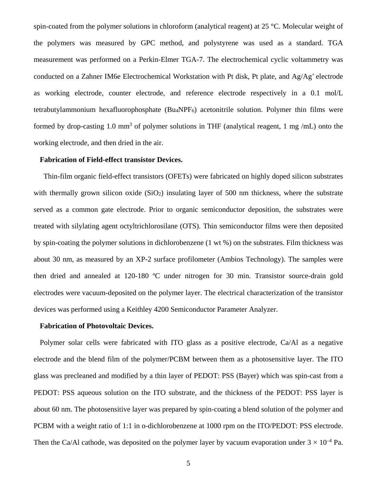spin-coated from the polymer solutions in chloroform (analytical reagent) at 25  $^{\circ}$ C. Molecular weight of the polymers was measured by GPC method, and polystyrene was used as a standard. TGA measurement was performed on a Perkin-Elmer TGA-7. The electrochemical cyclic voltammetry was conducted on a Zahner IM6e Electrochemical Workstation with Pt disk, Pt plate, and  $Ag/Ag^+$  electrode as working electrode, counter electrode, and reference electrode respectively in a 0.1 mol/L tetrabutylammonium hexafluorophosphate (Bu4NPF6) acetonitrile solution. Polymer thin films were formed by drop-casting 1.0 mm<sup>3</sup> of polymer solutions in THF (analytical reagent, 1 mg/mL) onto the working electrode, and then dried in the air.

#### **Fabrication of Field-effect transistor Devices.**

Thin-film organic field-effect transistors (OFETs) were fabricated on highly doped silicon substrates with thermally grown silicon oxide (SiO<sub>2</sub>) insulating layer of 500 nm thickness, where the substrate served as a common gate electrode. Prior to organic semiconductor deposition, the substrates were treated with silylating agent octyltrichlorosilane (OTS). Thin semiconductor films were then deposited by spin-coating the polymer solutions in dichlorobenzene (1 wt %) on the substrates. Film thickness was about 30 nm, as measured by an XP-2 surface profilometer (Ambios Technology). The samples were then dried and annealed at 120-180 ºC under nitrogen for 30 min. Transistor source-drain gold electrodes were vacuum-deposited on the polymer layer. The electrical characterization of the transistor devices was performed using a Keithley 4200 Semiconductor Parameter Analyzer.

#### **Fabrication of Photovoltaic Devices.**

Polymer solar cells were fabricated with ITO glass as a positive electrode, Ca/Al as a negative electrode and the blend film of the polymer/PCBM between them as a photosensitive layer. The ITO glass was precleaned and modified by a thin layer of PEDOT: PSS (Bayer) which was spin-cast from a PEDOT: PSS aqueous solution on the ITO substrate, and the thickness of the PEDOT: PSS layer is about 60 nm. The photosensitive layer was prepared by spin-coating a blend solution of the polymer and PCBM with a weight ratio of 1:1 in o-dichlorobenzene at 1000 rpm on the ITO/PEDOT: PSS electrode. Then the Ca/Al cathode, was deposited on the polymer layer by vacuum evaporation under  $3 \times 10^{-4}$  Pa.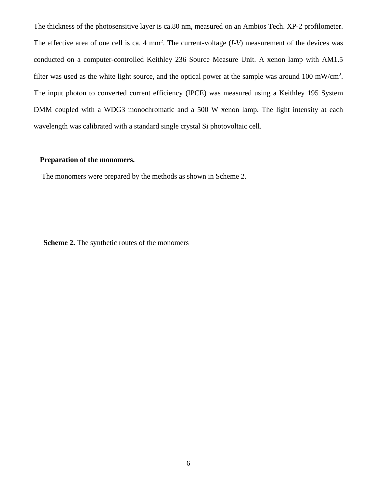The thickness of the photosensitive layer is ca.80 nm, measured on an Ambios Tech. XP-2 profilometer. The effective area of one cell is ca.  $4 \text{ mm}^2$ . The current-voltage  $(I-V)$  measurement of the devices was conducted on a computer-controlled Keithley 236 Source Measure Unit. A xenon lamp with AM1.5 filter was used as the white light source, and the optical power at the sample was around 100 mW/cm<sup>2</sup>. The input photon to converted current efficiency (IPCE) was measured using a Keithley 195 System DMM coupled with a WDG3 monochromatic and a 500 W xenon lamp. The light intensity at each wavelength was calibrated with a standard single crystal Si photovoltaic cell.

#### **Preparation of the monomers.**

The monomers were prepared by the methods as shown in Scheme 2.

**Scheme 2.** The synthetic routes of the monomers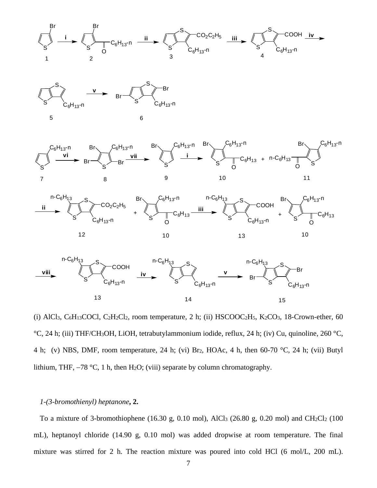









(i) AlCl<sub>3</sub>, C<sub>6</sub>H<sub>13</sub>COCl, C<sub>2</sub>H<sub>2</sub>Cl<sub>2</sub>, room temperature, 2 h; (ii) HSCOOC<sub>2</sub>H<sub>5</sub>, K<sub>2</sub>CO<sub>3</sub>, 18-Crown-ether, 60 °C, 24 h; (iii) THF/CH3OH, LiOH, tetrabutylammonium iodide, reflux, 24 h; (iv) Cu, quinoline, 260 °C, 4 h; (v) NBS, DMF, room temperature, 24 h; (vi) Br2, HOAc, 4 h, then 60-70 °C, 24 h; (vii) Butyl lithium, THF, −78 °C, 1 h, then H2O; (viii) separate by column chromatography.

#### *1-(3-bromothienyl) heptanone***, 2.**

To a mixture of 3-bromothiophene (16.30 g, 0.10 mol), AlCl<sub>3</sub> (26.80 g, 0.20 mol) and CH<sub>2</sub>Cl<sub>2</sub> (100 mL), heptanoyl chloride (14.90 g, 0.10 mol) was added dropwise at room temperature. The final mixture was stirred for 2 h. The reaction mixture was poured into cold HCl (6 mol/L, 200 mL).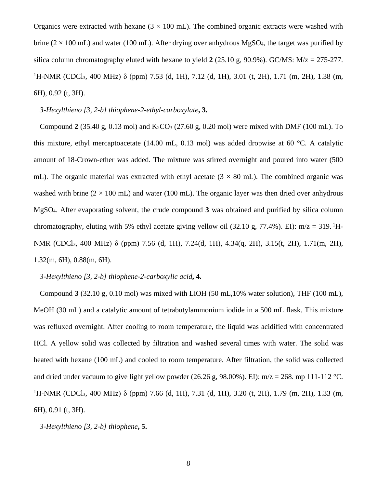Organics were extracted with hexane  $(3 \times 100 \text{ mL})$ . The combined organic extracts were washed with brine ( $2 \times 100$  mL) and water (100 mL). After drying over anhydrous MgSO<sub>4</sub>, the target was purified by silica column chromatography eluted with hexane to yield **2** (25.10 g, 90.9%). GC/MS: M/z = 275-277. <sup>1</sup>H-NMR (CDCl<sub>3</sub>, 400 MHz) δ (ppm) 7.53 (d, 1H), 7.12 (d, 1H), 3.01 (t, 2H), 1.71 (m, 2H), 1.38 (m, 6H), 0.92 (t, 3H).

*3-Hexylthieno [3, 2-b] thiophene-2-ethyl-carboxylate***, 3.**

Compound  $2(35.40 \text{ g}, 0.13 \text{ mol})$  and  $K_2CO_3 (27.60 \text{ g}, 0.20 \text{ mol})$  were mixed with DMF (100 mL). To this mixture, ethyl mercaptoacetate (14.00 mL, 0.13 mol) was added dropwise at 60 °C. A catalytic amount of 18-Crown-ether was added. The mixture was stirred overnight and poured into water (500 mL). The organic material was extracted with ethyl acetate  $(3 \times 80 \text{ mL})$ . The combined organic was washed with brine  $(2 \times 100 \text{ mL})$  and water (100 mL). The organic layer was then dried over anhydrous MgSO4. After evaporating solvent, the crude compound **3** was obtained and purified by silica column chromatography, eluting with 5% ethyl acetate giving yellow oil (32.10 g, 77.4%). EI):  $m/z = 319$ . <sup>1</sup>H-NMR (CDCl3, 400 MHz) δ (ppm) 7.56 (d, 1H), 7.24(d, 1H), 4.34(q, 2H), 3.15(t, 2H), 1.71(m, 2H), 1.32(m, 6H), 0.88(m, 6H).

*3-Hexylthieno [3, 2-b] thiophene-2-carboxylic acid***, 4.**

Compound **3** (32.10 g, 0.10 mol) was mixed with LiOH (50 mL,10% water solution), THF (100 mL), MeOH (30 mL) and a catalytic amount of tetrabutylammonium iodide in a 500 mL flask. This mixture was refluxed overnight. After cooling to room temperature, the liquid was acidified with concentrated HCl. A yellow solid was collected by filtration and washed several times with water. The solid was heated with hexane (100 mL) and cooled to room temperature. After filtration, the solid was collected and dried under vacuum to give light yellow powder (26.26 g, 98.00%). EI):  $m/z = 268$ . mp 111-112 °C. <sup>1</sup>H-NMR (CDCl<sub>3</sub>, 400 MHz) δ (ppm) 7.66 (d, 1H), 7.31 (d, 1H), 3.20 (t, 2H), 1.79 (m, 2H), 1.33 (m, 6H), 0.91 (t, 3H).

*3-Hexylthieno [3, 2-b] thiophene***, 5.**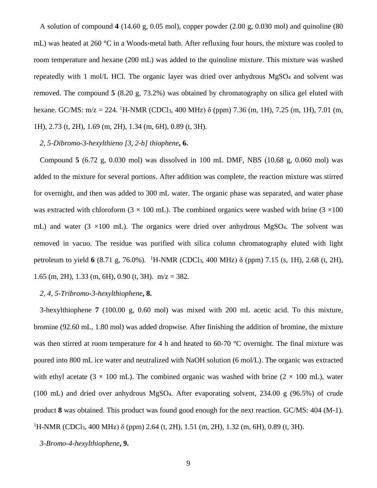A solution of compound **4** (14.60 g, 0.05 mol), copper powder (2.00 g, 0.030 mol) and quinoline (80 mL) was heated at 260 °C in a Woods-metal bath. After refluxing four hours, the mixture was cooled to room temperature and hexane (200 mL) was added to the quinoline mixture. This mixture was washed repeatedly with 1 mol/L HCl. The organic layer was dried over anhydrous MgSO4 and solvent was removed. The compound **5** (8.20 g, 73.2%) was obtained by chromatography on silica gel eluted with hexane. GC/MS: m/z = 224. <sup>1</sup>H-NMR (CDCl<sub>3</sub>, 400 MHz)  $\delta$  (ppm) 7.36 (m, 1H), 7.25 (m, 1H), 7.01 (m, 1H), 2.73 (t, 2H), 1.69 (m, 2H), 1.34 (m, 6H), 0.89 (t, 3H).

#### *2, 5-Dibromo-3-hexylthieno [3, 2-b] thiophene***, 6.**

Compound **5** (6.72 g, 0.030 mol) was dissolved in 100 mL DMF, NBS (10.68 g, 0.060 mol) was added to the mixture for several portions. After addition was complete, the reaction mixture was stirred for overnight, and then was added to 300 mL water. The organic phase was separated, and water phase was extracted with chloroform ( $3 \times 100$  mL). The combined organics were washed with brine ( $3 \times 100$ mL) and water  $(3 \times 100 \text{ mL})$ . The organics were dried over anhydrous MgSO4. The solvent was removed in vacuo. The residue was purified with silica column chromatography eluted with light petroleum to yield **6** (8.71 g, 76.0%). 1H-NMR (CDCl3, 400 MHz) δ (ppm) 7.15 (s, 1H), 2.68 (t, 2H), 1.65 (m, 2H), 1.33 (m, 6H), 0.90 (t, 3H).  $m/z = 382$ .

#### *2, 4, 5-Tribromo-3-hexylthiophene***, 8.**

3-hexylthiophene **7** (100.00 g, 0.60 mol) was mixed with 200 mL acetic acid. To this mixture, bromine (92.60 mL, 1.80 mol) was added dropwise. After finishing the addition of bromine, the mixture was then stirred at room temperature for 4 h and heated to 60-70  $\degree$ C overnight. The final mixture was poured into 800 mL ice water and neutralized with NaOH solution (6 mol/L). The organic was extracted with ethyl acetate (3  $\times$  100 mL). The combined organic was washed with brine (2  $\times$  100 mL), water (100 mL) and dried over anhydrous MgSO4. After evaporating solvent, 234.00 g (96.5%) of crude product **8** was obtained. This product was found good enough for the next reaction. GC/MS: 404 (M-1). <sup>1</sup>H-NMR (CDCl<sub>3</sub>, 400 MHz) δ (ppm) 2.64 (t, 2H), 1.51 (m, 2H), 1.32 (m, 6H), 0.89 (t, 3H).

*3-Bromo-4-hexylthiophene***, 9.**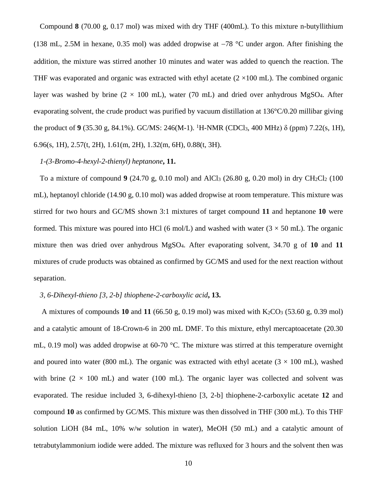Compound **8** (70.00 g, 0.17 mol) was mixed with dry THF (400mL). To this mixture n-butyllithium (138 mL, 2.5M in hexane, 0.35 mol) was added dropwise at −78 °C under argon. After finishing the addition, the mixture was stirred another 10 minutes and water was added to quench the reaction. The THF was evaporated and organic was extracted with ethyl acetate  $(2 \times 100 \text{ mL})$ . The combined organic layer was washed by brine  $(2 \times 100 \text{ mL})$ , water (70 mL) and dried over anhydrous MgSO4. After evaporating solvent, the crude product was purified by vacuum distillation at 136°C/0.20 millibar giving the product of **9** (35.30 g, 84.1%). GC/MS: 246(M-1). <sup>1</sup>H-NMR (CDCl<sub>3</sub>, 400 MHz) δ (ppm) 7.22(s, 1H), 6.96(s, 1H), 2.57(t, 2H), 1.61(m, 2H), 1.32(m, 6H), 0.88(t, 3H).

#### *1-(3-Bromo-4-hexyl-2-thienyl) heptanone***, 11.**

To a mixture of compound **9** (24.70 g, 0.10 mol) and AlCl3 (26.80 g, 0.20 mol) in dry CH2Cl2 (100 mL), heptanoyl chloride (14.90 g, 0.10 mol) was added dropwise at room temperature. This mixture was stirred for two hours and GC/MS shown 3:1 mixtures of target compound **11** and heptanone **10** were formed. This mixture was poured into HCl (6 mol/L) and washed with water ( $3 \times 50$  mL). The organic mixture then was dried over anhydrous MgSO4. After evaporating solvent, 34.70 g of **10** and **11** mixtures of crude products was obtained as confirmed by GC/MS and used for the next reaction without separation.

#### *3, 6-Dihexyl-thieno [3, 2-b] thiophene-2-carboxylic acid***, 13.**

A mixtures of compounds  $10$  and  $11$  (66.50 g, 0.19 mol) was mixed with K<sub>2</sub>CO<sub>3</sub> (53.60 g, 0.39 mol) and a catalytic amount of 18-Crown-6 in 200 mL DMF. To this mixture, ethyl mercaptoacetate (20.30 mL, 0.19 mol) was added dropwise at 60-70 °C. The mixture was stirred at this temperature overnight and poured into water (800 mL). The organic was extracted with ethyl acetate ( $3 \times 100$  mL), washed with brine  $(2 \times 100 \text{ mL})$  and water (100 mL). The organic layer was collected and solvent was evaporated. The residue included 3, 6-dihexyl-thieno [3, 2-b] thiophene-2-carboxylic acetate **12** and compound **10** as confirmed by GC/MS. This mixture was then dissolved in THF (300 mL). To this THF solution LiOH (84 mL, 10% w/w solution in water), MeOH (50 mL) and a catalytic amount of tetrabutylammonium iodide were added. The mixture was refluxed for 3 hours and the solvent then was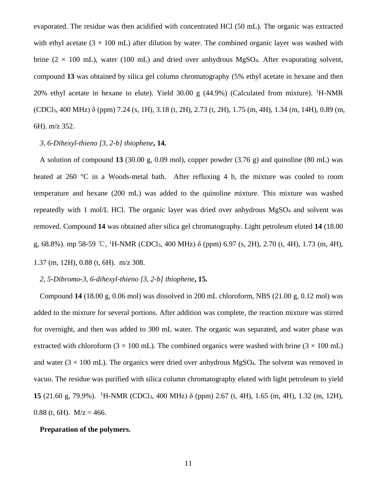evaporated. The residue was then acidified with concentrated HCl (50 mL). The organic was extracted with ethyl acetate ( $3 \times 100$  mL) after dilution by water. The combined organic layer was washed with brine (2  $\times$  100 mL), water (100 mL) and dried over anhydrous MgSO4. After evaporating solvent, compound **13** was obtained by silica gel column chromatography (5% ethyl acetate in hexane and then 20% ethyl acetate in hexane to elute). Yield 30.00 g  $(44.9%)$  (Calculated from mixture). <sup>1</sup>H-NMR (CDCl3, 400 MHz) δ (ppm) 7.24 (s, 1H), 3.18 (t, 2H), 2.73 (t, 2H), 1.75 (m, 4H), 1.34 (m, 14H), 0.89 (m, 6H). m/z 352.

#### *3, 6-Dihexyl-thieno [3, 2-b] thiophene***, 14.**

A solution of compound **13** (30.00 g, 0.09 mol), copper powder (3.76 g) and quinoline (80 mL) was heated at 260 °C in a Woods-metal bath. After refluxing 4 h, the mixture was cooled to room temperature and hexane (200 mL) was added to the quinoline mixture. This mixture was washed repeatedly with 1 mol/L HCl. The organic layer was dried over anhydrous MgSO4 and solvent was removed. Compound **14** was obtained after silica gel chromatography. Light petroleum eluted **14** (18.00 g, 68.8%). mp 58-59 ℃, <sup>1</sup>H-NMR (CDCl<sub>3</sub>, 400 MHz) δ (ppm) 6.97 (s, 2H), 2.70 (t, 4H), 1.73 (m, 4H), 1.37 (m, 12H), 0.88 (t, 6H). m/z 308.

#### *2, 5-Dibromo-3, 6-dihexyl-thieno [3, 2-b] thiophene***, 15.**

Compound **14** (18.00 g, 0.06 mol) was dissolved in 200 mL chloroform, NBS (21.00 g, 0.12 mol) was added to the mixture for several portions. After addition was complete, the reaction mixture was stirred for overnight, and then was added to 300 mL water. The organic was separated, and water phase was extracted with chloroform ( $3 \times 100$  mL). The combined organics were washed with brine ( $3 \times 100$  mL) and water ( $3 \times 100$  mL). The organics were dried over anhydrous MgSO<sub>4</sub>. The solvent was removed in vacuo. The residue was purified with silica column chromatography eluted with light petroleum to yield **15** (21.60 g, 79.9%). <sup>1</sup>H-NMR (CDCl<sub>3</sub>, 400 MHz) δ (ppm) 2.67 (t, 4H), 1.65 (m, 4H), 1.32 (m, 12H), 0.88 (t, 6H).  $M/z = 466$ .

#### **Preparation of the polymers.**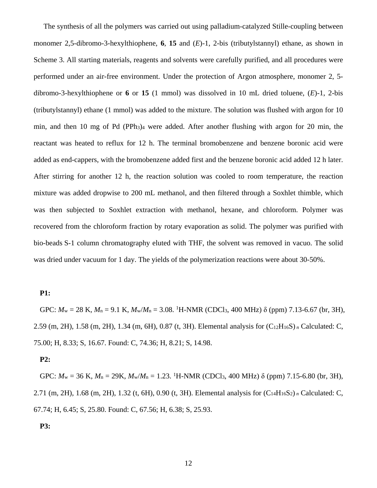The synthesis of all the polymers was carried out using palladium-catalyzed Stille-coupling between monomer 2,5-dibromo-3-hexylthiophene, **6**, **15** and (*E*)-1, 2-bis (tributylstannyl) ethane, as shown in Scheme 3. All starting materials, reagents and solvents were carefully purified, and all procedures were performed under an air-free environment. Under the protection of Argon atmosphere, monomer 2, 5 dibromo-3-hexylthiophene or **6** or **15** (1 mmol) was dissolved in 10 mL dried toluene, (*E*)-1, 2-bis (tributylstannyl) ethane (1 mmol) was added to the mixture. The solution was flushed with argon for 10 min, and then 10 mg of Pd (PPh3)4 were added. After another flushing with argon for 20 min, the reactant was heated to reflux for 12 h. The terminal bromobenzene and benzene boronic acid were added as end-cappers, with the bromobenzene added first and the benzene boronic acid added 12 h later. After stirring for another 12 h, the reaction solution was cooled to room temperature, the reaction mixture was added dropwise to 200 mL methanol, and then filtered through a Soxhlet thimble, which was then subjected to Soxhlet extraction with methanol, hexane, and chloroform. Polymer was recovered from the chloroform fraction by rotary evaporation as solid. The polymer was purified with bio-beads S-1 column chromatography eluted with THF, the solvent was removed in vacuo. The solid was dried under vacuum for 1 day. The yields of the polymerization reactions were about 30-50%.

#### **P1:**

GPC:  $M_w = 28$  K,  $M_n = 9.1$  K,  $M_w/M_n = 3.08$ . <sup>1</sup>H-NMR (CDCl<sub>3</sub>, 400 MHz)  $\delta$  (ppm) 7.13-6.67 (br, 3H), 2.59 (m, 2H), 1.58 (m, 2H), 1.34 (m, 6H), 0.87 (t, 3H). Elemental analysis for (C12H16S) *<sup>n</sup>* Calculated: C, 75.00; H, 8.33; S, 16.67. Found: C, 74.36; H, 8.21; S, 14.98.

#### **P2:**

GPC:  $M_w = 36$  K,  $M_n = 29$ K,  $M_w/M_n = 1.23$ . <sup>1</sup>H-NMR (CDCl<sub>3</sub>, 400 MHz)  $\delta$  (ppm) 7.15-6.80 (br, 3H), 2.71 (m, 2H), 1.68 (m, 2H), 1.32 (t, 6H), 0.90 (t, 3H). Elemental analysis for (C14H16S2) *<sup>n</sup>* Calculated: C, 67.74; H, 6.45; S, 25.80. Found: C, 67.56; H, 6.38; S, 25.93.

#### **P3:**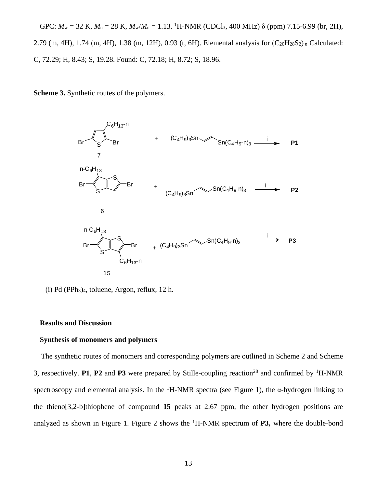GPC:  $M_w = 32$  K,  $M_n = 28$  K,  $M_w/M_n = 1.13$ . <sup>1</sup>H-NMR (CDCl<sub>3</sub>, 400 MHz)  $\delta$  (ppm) 7.15-6.99 (br, 2H), 2.79 (m, 4H), 1.74 (m, 4H), 1.38 (m, 12H), 0.93 (t, 6H). Elemental analysis for (C20H28S2) *<sup>n</sup>* Calculated: C, 72.29; H, 8.43; S, 19.28. Found: C, 72.18; H, 8.72; S, 18.96.

**Scheme 3.** Synthetic routes of the polymers.



(i) Pd (PPh3)4, toluene, Argon, reflux, 12 h.

#### **Results and Discussion**

#### **Synthesis of monomers and polymers**

The synthetic routes of monomers and corresponding polymers are outlined in Scheme 2 and Scheme 3, respectively. **P1**, **P2** and **P3** were prepared by Stille-coupling reaction28 and confirmed by 1H-NMR spectroscopy and elemental analysis. In the <sup>1</sup>H-NMR spectra (see Figure 1), the  $\alpha$ -hydrogen linking to the thieno[3,2-b]thiophene of compound **15** peaks at 2.67 ppm, the other hydrogen positions are analyzed as shown in Figure 1. Figure 2 shows the <sup>1</sup> H-NMR spectrum of **P3,** where the double-bond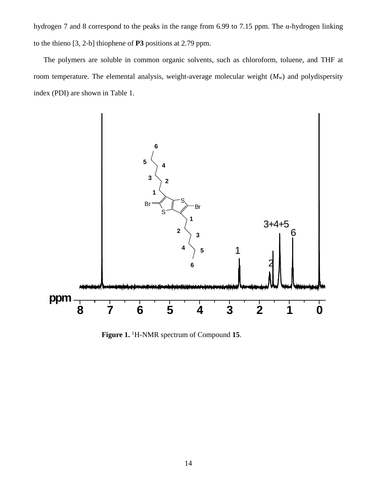hydrogen 7 and 8 correspond to the peaks in the range from 6.99 to 7.15 ppm. The α-hydrogen linking to the thieno [3, 2-b] thiophene of **P3** positions at 2.79 ppm.

The polymers are soluble in common organic solvents, such as chloroform, toluene, and THF at room temperature. The elemental analysis, weight-average molecular weight (*M*w) and polydispersity index (PDI) are shown in Table 1.



**Figure 1.** <sup>1</sup> H-NMR spectrum of Compound **15**.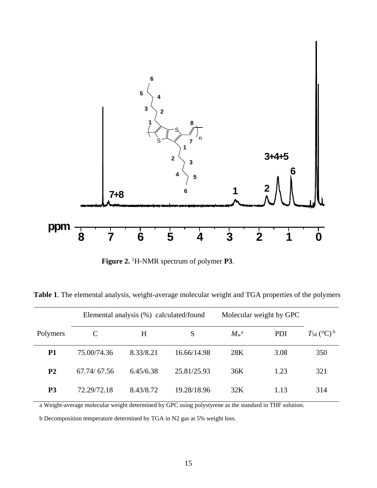

**Figure 2.** <sup>1</sup> H-NMR spectrum of polymer **P3**.

**Table 1**. The elemental analysis, weight-average molecular weight and TGA properties of the polymers

|                | Elemental analysis (%) calculated/found |           |             | Molecular weight by GPC  |            |                                |
|----------------|-----------------------------------------|-----------|-------------|--------------------------|------------|--------------------------------|
| Polymers       |                                         | H         | S           | $M_{\rm w}$ <sup>a</sup> | <b>PDI</b> | $T_{\rm 5d}$ (°C) <sup>b</sup> |
| P <sub>1</sub> | 75.00/74.36                             | 8.33/8.21 | 16.66/14.98 | 28K                      | 3.08       | 350                            |
| P <sub>2</sub> | 67.74/67.56                             | 6.45/6.38 | 25.81/25.93 | 36K                      | 1.23       | 321                            |
| P <sub>3</sub> | 72.29/72.18                             | 8.43/8.72 | 19.28/18.96 | 32K                      | 1.13       | 314                            |

a Weight-average molecular weight determined by GPC using polystyrene as the standard in THF solution.

b Decomposition temperature determined by TGA in N2 gas at 5% weight loss.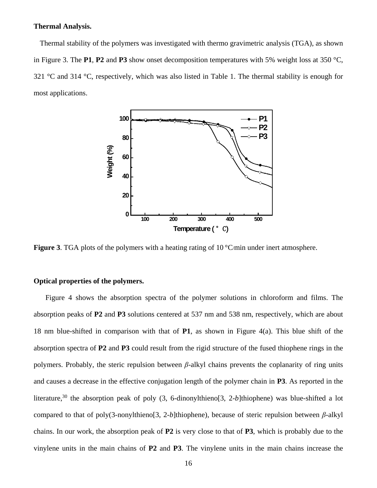#### **Thermal Analysis.**

Thermal stability of the polymers was investigated with thermo gravimetric analysis (TGA), as shown in Figure 3. The **P1**, **P2** and **P3** show onset decomposition temperatures with 5% weight loss at 350 °C, 321 °C and 314 °C, respectively, which was also listed in Table 1. The thermal stability is enough for most applications.



**Figure 3.** TGA plots of the polymers with a heating rating of 10 °C/min under inert atmosphere.

#### **Optical properties of the polymers.**

 Figure 4 shows the absorption spectra of the polymer solutions in chloroform and films. The absorption peaks of **P2** and **P3** solutions centered at 537 nm and 538 nm, respectively, which are about 18 nm blue-shifted in comparison with that of **P1**, as shown in Figure 4(a). This blue shift of the absorption spectra of **P2** and **P3** could result from the rigid structure of the fused thiophene rings in the polymers. Probably, the steric repulsion between *β*-alkyl chains prevents the coplanarity of ring units and causes a decrease in the effective conjugation length of the polymer chain in **P3**. As reported in the literature,<sup>30</sup> the absorption peak of poly (3, 6-dinonylthieno[3, 2-b]thiophene) was blue-shifted a lot compared to that of poly(3-nonylthieno[3, 2-*b*]thiophene), because of steric repulsion between *β*-alkyl chains. In our work, the absorption peak of **P2** is very close to that of **P3**, which is probably due to the vinylene units in the main chains of **P2** and **P3**. The vinylene units in the main chains increase the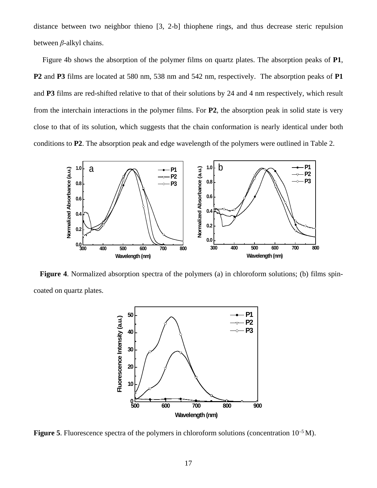distance between two neighbor thieno [3, 2-b] thiophene rings, and thus decrease steric repulsion between *β*-alkyl chains.

Figure 4b shows the absorption of the polymer films on quartz plates. The absorption peaks of **P1**, **P2** and **P3** films are located at 580 nm, 538 nm and 542 nm, respectively. The absorption peaks of **P1**  and **P3** films are red-shifted relative to that of their solutions by 24 and 4 nm respectively, which result from the interchain interactions in the polymer films. For **P2**, the absorption peak in solid state is very close to that of its solution, which suggests that the chain conformation is nearly identical under both conditions to **P2**. The absorption peak and edge wavelength of the polymers were outlined in Table 2.



**Figure 4**. Normalized absorption spectra of the polymers (a) in chloroform solutions; (b) films spincoated on quartz plates.



Figure 5. Fluorescence spectra of the polymers in chloroform solutions (concentration  $10^{-5}$  M).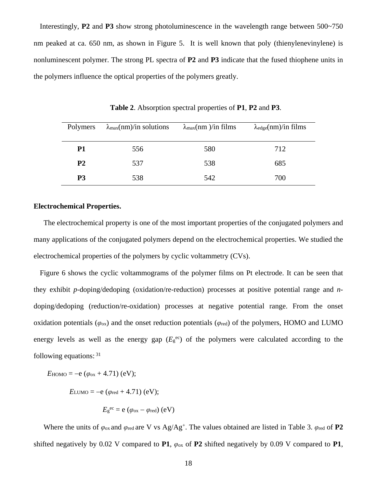Interestingly, **P2** and **P3** show strong photoluminescence in the wavelength range between 500~750 nm peaked at ca. 650 nm, as shown in Figure 5. It is well known that poly (thienylenevinylene) is nonluminescent polymer. The strong PL spectra of **P2** and **P3** indicate that the fused thiophene units in the polymers influence the optical properties of the polymers greatly.

| Polymers       | $\lambda_{\text{max}}(nm)/$ in solutions | $\lambda_{\text{max}}(nm)$ /in films | $\lambda_{\text{edge}}(nm)/in$ films |
|----------------|------------------------------------------|--------------------------------------|--------------------------------------|
| <b>P1</b>      | 556                                      | 580                                  | 712                                  |
| P <sub>2</sub> | 537                                      | 538                                  | 685                                  |
| P <sub>3</sub> | 538                                      | 542                                  | 700                                  |

**Table 2**. Absorption spectral properties of **P1**, **P2** and **P3**.

#### **Electrochemical Properties.**

The electrochemical property is one of the most important properties of the conjugated polymers and many applications of the conjugated polymers depend on the electrochemical properties. We studied the electrochemical properties of the polymers by cyclic voltammetry (CVs).

Figure 6 shows the cyclic voltammograms of the polymer films on Pt electrode. It can be seen that they exhibit *p*-doping/dedoping (oxidation/re-reduction) processes at positive potential range and *n*doping/dedoping (reduction/re-oxidation) processes at negative potential range. From the onset oxidation potentials ( $\varphi_{ox}$ ) and the onset reduction potentials ( $\varphi_{red}$ ) of the polymers, HOMO and LUMO energy levels as well as the energy gap  $(E_g^{\text{ec}})$  of the polymers were calculated according to the following equations:  $31$ 

 $E_{\text{HOMO}} = -e (\varphi_{\text{ox}} + 4.71)$  (eV);

$$
E_{\text{LUMO}} = -e (\varphi_{\text{red}} + 4.71) \text{ (eV)};
$$

$$
E_{\rm g}^{\rm ec} = e \left( \varphi_{\rm ox} - \varphi_{\rm red} \right) \left( eV \right)
$$

Where the units of  $\varphi_{ox}$  and  $\varphi_{red}$  are V vs Ag/Ag<sup>+</sup>. The values obtained are listed in Table 3.  $\varphi_{red}$  of **P2** shifted negatively by 0.02 V compared to **P1**,  $\varphi_{\text{ox}}$  of **P2** shifted negatively by 0.09 V compared to **P1**,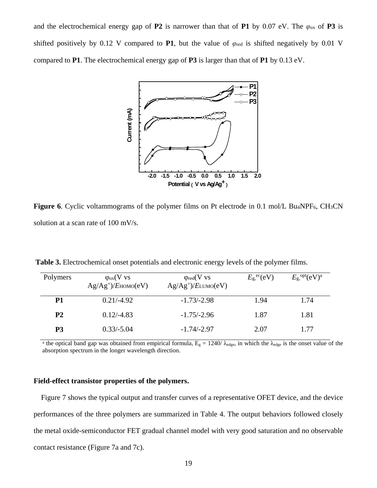and the electrochemical energy gap of **P2** is narrower than that of **P1** by 0.07 eV. The  $\varphi_{ox}$  of **P3** is shifted positively by 0.12 V compared to **P1**, but the value of  $\varphi_{\text{red}}$  is shifted negatively by 0.01 V compared to **P1**. The electrochemical energy gap of **P3** is larger than that of **P1** by 0.13 eV.



**Figure 6.** Cyclic voltammograms of the polymer films on Pt electrode in 0.1 mol/L Bu<sub>4</sub>NPF<sub>6</sub>, CH<sub>3</sub>CN solution at a scan rate of 100 mV/s.

| Polymers  | $\varphi_{\rm ox}(V$ vs<br>$Ag/Ag^{\dagger}/E$ HOMO $(eV)$ | $\varphi_{red}(V \text{ vs }$<br>$Ag/Ag^{\dagger}/E_{LUMO}(eV)$ | $E_{\rm g}$ <sup>ec</sup> (eV) | $E_{\rm g}$ , opt $({\rm eV})^{\rm a}$ |
|-----------|------------------------------------------------------------|-----------------------------------------------------------------|--------------------------------|----------------------------------------|
| P1        | $0.21/-4.92$                                               | $-1.73/-2.98$                                                   | 1.94                           | 1.74                                   |
| <b>P2</b> | $0.12/-4.83$                                               | $-1.75/-2.96$                                                   | 1.87                           | 1.81                                   |
| P3        | $0.33/-5.04$                                               | $-1.74/-2.97$                                                   | 2.07                           | 1.77                                   |

**Table 3.** Electrochemical onset potentials and electronic energy levels of the polymer films.

<sup>a</sup> the optical band gap was obtained from empirical formula,  $E<sub>g</sub> = 1240/ $\lambda_{\text{edge}}$$ , in which the  $\lambda_{\text{edge}}$  is the onset value of the absorption spectrum in the longer wavelength direction.

#### **Field-effect transistor properties of the polymers.**

Figure 7 shows the typical output and transfer curves of a representative OFET device, and the device performances of the three polymers are summarized in Table 4. The output behaviors followed closely the metal oxide-semiconductor FET gradual channel model with very good saturation and no observable contact resistance (Figure 7a and 7c).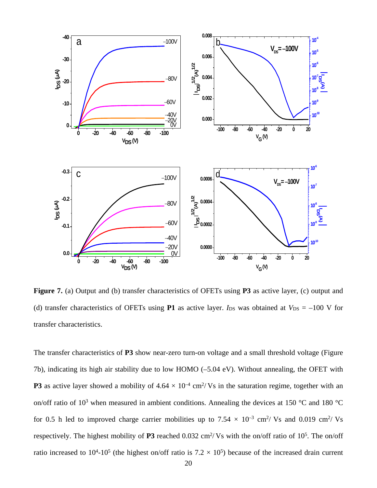

**Figure 7.** (a) Output and (b) transfer characteristics of OFETs using **P3** as active layer, (c) output and (d) transfer characteristics of OFETs using **P1** as active layer. *I*<sub>DS</sub> was obtained at  $V_{DS} = -100$  V for transfer characteristics.

The transfer characteristics of **P3** show near-zero turn-on voltage and a small threshold voltage (Figure 7b), indicating its high air stability due to low HOMO (–5.04 eV). Without annealing, the OFET with **P3** as active layer showed a mobility of  $4.64 \times 10^{-4}$  cm<sup>2</sup>/Vs in the saturation regime, together with an on/off ratio of 10<sup>3</sup> when measured in ambient conditions. Annealing the devices at 150 °C and 180 °C for 0.5 h led to improved charge carrier mobilities up to 7.54  $\times$  10<sup>-3</sup> cm<sup>2</sup>/ Vs and 0.019 cm<sup>2</sup>/ Vs respectively. The highest mobility of  $P3$  reached 0.032 cm<sup>2</sup>/Vs with the on/off ratio of 10<sup>5</sup>. The on/off ratio increased to  $10^4$ -10<sup>5</sup> (the highest on/off ratio is  $7.2 \times 10^5$ ) because of the increased drain current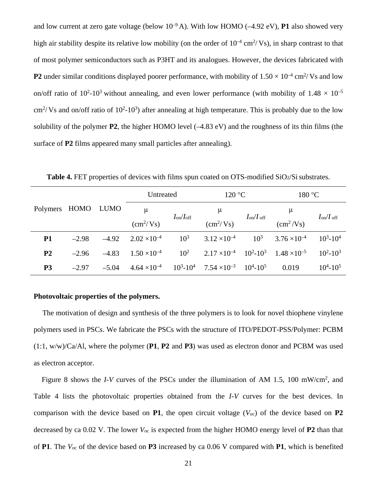and low current at zero gate voltage (below  $10^{-9}$  A). With low HOMO ( $-4.92$  eV), **P1** also showed very high air stability despite its relative low mobility (on the order of  $10^{-4}$  cm<sup>2</sup>/Vs), in sharp contrast to that of most polymer semiconductors such as P3HT and its analogues. However, the devices fabricated with **P2** under similar conditions displayed poorer performance, with mobility of  $1.50 \times 10^{-4}$  cm<sup>2</sup>/Vs and low on/off ratio of  $10^2$ -10<sup>3</sup> without annealing, and even lower performance (with mobility of  $1.48 \times 10^{-5}$ )  $\text{cm}^2/\text{Vs}$  and on/off ratio of 10<sup>2</sup>-10<sup>3</sup>) after annealing at high temperature. This is probably due to the low solubility of the polymer **P2**, the higher HOMO level (–4.83 eV) and the roughness of its thin films (the surface of **P2** films appeared many small particles after annealing).

|                    |         |         | Untreated                                 |                  | 120 °C                                                               |                  | 180 °C                  |                   |
|--------------------|---------|---------|-------------------------------------------|------------------|----------------------------------------------------------------------|------------------|-------------------------|-------------------|
| Polymers HOMO LUMO |         |         | $\mu$<br>$\rm \left( \rm cm^2/Vs \right)$ | $I_{on}/I_{off}$ | $\mu$<br>$\rm \left( \rm cm^2/Vs \right)$                            | $I_{on}/I_{off}$ | $\text{cm}^2/\text{Vs}$ | $I_{on}/I_{off}$  |
| <b>P1</b>          | $-2.98$ | $-4.92$ | $2.02 \times 10^{-4}$                     | $10^{3}$         | $3.12 \times 10^{-4}$                                                | $10^{3}$         | $3.76 \times 10^{-4}$   | $10^3 - 10^4$     |
| P <sub>2</sub>     | $-2.96$ | $-4.83$ | $1.50 \times 10^{-4}$                     | $10^{2}$         | $2.17 \times 10^{-4}$ $10^2 \times 10^3$ $1.48 \times 10^{-5}$       |                  |                         | $10^2 - 10^3$     |
| P <sub>3</sub>     | $-2.97$ | $-5.04$ | $4.64 \times 10^{-4}$                     |                  | $10^3 - 10^4$ 7.54 $\times 10^{-3}$ 10 <sup>4</sup> -10 <sup>5</sup> |                  | 0.019                   | $10^{4} - 10^{5}$ |

**Table 4.** FET properties of devices with films spun coated on OTS-modified SiO2/Si substrates.

#### **Photovoltaic properties of the polymers.**

The motivation of design and synthesis of the three polymers is to look for novel thiophene vinylene polymers used in PSCs. We fabricate the PSCs with the structure of ITO/PEDOT-PSS/Polymer: PCBM (1:1, w/w)/Ca/Al, where the polymer (**P1**, **P2** and **P3**) was used as electron donor and PCBM was used as electron acceptor.

Figure 8 shows the *I-V* curves of the PSCs under the illumination of AM 1.5, 100 mW/cm<sup>2</sup>, and Table 4 lists the photovoltaic properties obtained from the *I-V* curves for the best devices. In comparison with the device based on **P1**, the open circuit voltage  $(V<sub>oc</sub>)$  of the device based on **P2** decreased by ca 0.02 V. The lower *V*oc is expected from the higher HOMO energy level of **P2** than that of **P1**. The *V*oc of the device based on **P3** increased by ca 0.06 V compared with **P1**, which is benefited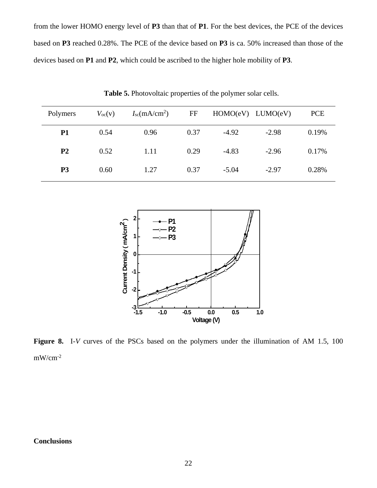from the lower HOMO energy level of **P3** than that of **P1**. For the best devices, the PCE of the devices based on **P3** reached 0.28%. The PCE of the device based on **P3** is ca. 50% increased than those of the devices based on **P1** and **P2**, which could be ascribed to the higher hole mobility of **P3**.

| Polymers       | $V_{\rm oc}(v)$ | I <sub>sc</sub> (mA/cm <sup>2</sup> ) | FF   | $HOMO(eV)$ $LUMO(eV)$ |         | <b>PCE</b> |
|----------------|-----------------|---------------------------------------|------|-----------------------|---------|------------|
| <b>P1</b>      | 0.54            | 0.96                                  | 0.37 | $-4.92$               | $-2.98$ | 0.19%      |
| P <sub>2</sub> | 0.52            | 1.11                                  | 0.29 | $-4.83$               | $-2.96$ | 0.17%      |
| P <sub>3</sub> | 0.60            | 1.27                                  | 0.37 | $-5.04$               | $-2.97$ | 0.28%      |

**Table 5.** Photovoltaic properties of the polymer solar cells.



**Figure 8.** I-*V* curves of the PSCs based on the polymers under the illumination of AM 1.5, 100  $mW/cm<sup>-2</sup>$ 

#### **Conclusions**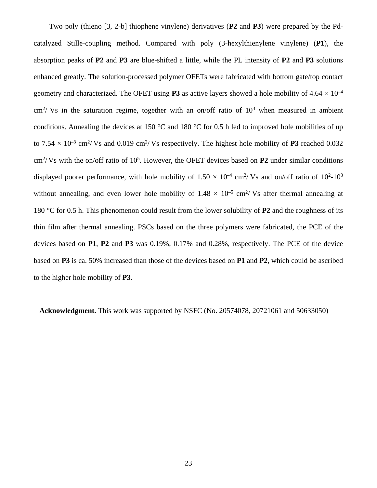Two poly (thieno [3, 2-b] thiophene vinylene) derivatives (**P2** and **P3**) were prepared by the Pdcatalyzed Stille-coupling method. Compared with poly (3-hexylthienylene vinylene) (**P1**), the absorption peaks of **P2** and **P3** are blue-shifted a little, while the PL intensity of **P2** and **P3** solutions enhanced greatly. The solution-processed polymer OFETs were fabricated with bottom gate/top contact geometry and characterized. The OFET using **P3** as active layers showed a hole mobility of  $4.64 \times 10^{-4}$  $\text{cm}^2$ / Vs in the saturation regime, together with an on/off ratio of  $10^3$  when measured in ambient conditions. Annealing the devices at 150  $\degree$ C and 180  $\degree$ C for 0.5 h led to improved hole mobilities of up to  $7.54 \times 10^{-3}$  cm<sup>2</sup>/Vs and 0.019 cm<sup>2</sup>/Vs respectively. The highest hole mobility of **P3** reached 0.032 cm2/ Vs with the on/off ratio of 105. However, the OFET devices based on **P2** under similar conditions displayed poorer performance, with hole mobility of  $1.50 \times 10^{-4}$  cm<sup>2</sup>/Vs and on/off ratio of 10<sup>2</sup>-10<sup>3</sup> without annealing, and even lower hole mobility of  $1.48 \times 10^{-5}$  cm<sup>2</sup>/Vs after thermal annealing at 180 °C for 0.5 h. This phenomenon could result from the lower solubility of **P2** and the roughness of its thin film after thermal annealing. PSCs based on the three polymers were fabricated, the PCE of the devices based on **P1**, **P2** and **P3** was 0.19%, 0.17% and 0.28%, respectively. The PCE of the device based on **P3** is ca. 50% increased than those of the devices based on **P1** and **P2**, which could be ascribed to the higher hole mobility of **P3**.

**Acknowledgment.** This work was supported by NSFC (No. 20574078, 20721061 and 50633050)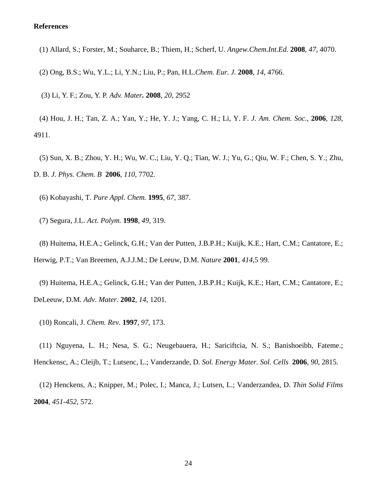#### **References**

(1) Allard, S.; Forster, M.; Souharce, B.; Thiem, H.; Scherf, U. *Angew.Chem.Int.Ed.* **2008**, *47*, 4070.

(2) Ong, B.S.; Wu, Y.L.; Li, Y.N.; Liu, P.; Pan, H.L.*Chem. Eur. J.* **2008**, *14*, 4766.

(3) Li, Y. F.; Zou, Y. P. *Adv. Mater.* **2008**, *20*, 2952

(4) Hou, J. H.; Tan, Z. A.; Yan, Y.; He, Y. J.; Yang, C. H.; Li, Y. F. *J. Am. Chem. Soc.,* **2006**, *128*, 4911.

(5) Sun, X. B.; Zhou, Y. H.; Wu, W. C.; Liu, Y. Q.; Tian, W. J.; Yu, G.; Qiu, W. F.; Chen, S. Y.; Zhu, D. B. *J. Phys. Chem. B* **2006**, *110*, 7702.

(6) Kobayashi, T. *Pure Appl. Chem.* **1995**, *67*, 387.

(7) Segura, J.L. *Act. Polym.* **1998**, *49*, 319.

(8) Huitema, H.E.A.; Gelinck, G.H.; Van der Putten, J.B.P.H.; Kuijk, K.E.; Hart, C.M.; Cantatore, E.; Herwig, P.T.; Van Breemen, A.J.J.M.; De Leeuw, D.M. *Nature* **2001**, *414*,5 99.

(9) Huitema, H.E.A.; Gelinck, G.H.; Van der Putten, J.B.P.H.; Kuijk, K.E.; Hart, C.M.; Cantatore, E.; DeLeeuw, D.M. *Adv. Mater.* **2002**, *14*, 1201.

(10) Roncali, J. *Chem. Rev.* **1997**, *97*, 173.

(11) Nguyena, L. H.; Nesa, S. G.; Neugebauera, H.; Sariciftcia, N. S.; Banishoeibb, Fateme.; Henckensc, A.; Cleijb, T.; Lutsenc, L.; Vanderzande, D. *Sol. Energy Mater. Sol. Cells* **2006**, *90*, 2815.

(12) Henckens, A.; Knipper, M.; Polec, I.; Manca, J.; Lutsen, L.; Vanderzandea, D. *Thin Solid Films* **2004**, *451-452*, 572.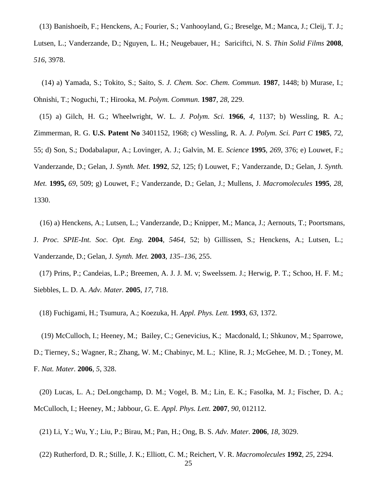(13) Banishoeib, F.; Henckens, A.; Fourier, S.; Vanhooyland, G.; Breselge, M.; Manca, J.; Cleij, T. J.; Lutsen, L.; Vanderzande, D.; Nguyen, L. H.; Neugebauer, H.; Sariciftci, N. S. *Thin Solid Films* **2008**, *516*, 3978.

(14) a) Yamada, S.; Tokito, S.; Saito, S. *J. Chem. Soc. Chem. Commun.* **1987**, 1448; b) Murase, I.; Ohnishi, T.; Noguchi, T.; Hirooka, M. *Polym. Commun.* **1987**, *28*, 229.

(15) a) Gilch, H. G.; Wheelwright, W. L. *J. Polym. Sci.* **1966**, *4*, 1137; b) Wessling, R. A.; Zimmerman, R. G. **U.S. Patent No** 3401152, 1968; c) Wessling, R. A. *J. Polym. Sci. Part C* **1985**, *72*, 55; d) Son, S.; Dodabalapur, A.; Lovinger, A. J.; Galvin, M. E. *Science* **1995**, *269*, 376; e) Louwet, F.; Vanderzande, D.; Gelan, J. *Synth. Met.* **1992**, *52*, 125; f) Louwet, F.; Vanderzande, D.; Gelan, J. *Synth. Met.* **1995,** *69*, 509; g) Louwet, F.; Vanderzande, D.; Gelan, J.; Mullens, J. *Macromolecules* **1995**, *28*, 1330.

(16) a) Henckens, A.; Lutsen, L.; Vanderzande, D.; Knipper, M.; Manca, J.; Aernouts, T.; Poortsmans, J. *Proc. SPIE-Int. Soc. Opt. Eng.* **2004**, *5464*, 52; b) Gillissen, S.; Henckens, A.; Lutsen, L.; Vanderzande, D.; Gelan, J. *Synth. Met.* **2003**, *135–136*, 255.

(17) Prins, P.; Candeias, L.P.; Breemen, A. J. J. M. v; Sweelssem. J.; Herwig, P. T.; Schoo, H. F. M.; Siebbles, L. D. A. *Adv. Mater.* **2005**, *17*, 718.

(18) Fuchigami, H.; Tsumura, A.; Koezuka, H. *Appl. Phys. Lett.* **1993**, *63*, 1372.

(19) McCulloch, I.; Heeney, M.; Bailey, C.; Genevicius, K.; Macdonald, I.; Shkunov, M.; Sparrowe, D.; Tierney, S.; Wagner, R.; Zhang, W. M.; Chabinyc, M. L.; Kline, R. J.; McGehee, M. D. ; Toney, M. F. *Nat. Mater.* **2006**, *5*, 328.

(20) Lucas, L. A.; DeLongchamp, D. M.; Vogel, B. M.; Lin, E. K.; Fasolka, M. J.; Fischer, D. A.; McCulloch, I.; Heeney, M.; Jabbour, G. E. *Appl. Phys. Lett.* **2007**, *90*, 012112.

(21) Li, Y.; Wu, Y.; Liu, P.; Birau, M.; Pan, H.; Ong, B. S. *Adv. Mater.* **2006**, *18*, 3029.

(22) Rutherford, D. R.; Stille, J. K.; Elliott, C. M.; Reichert, V. R. *Macromolecules* **1992**, *25*, 2294.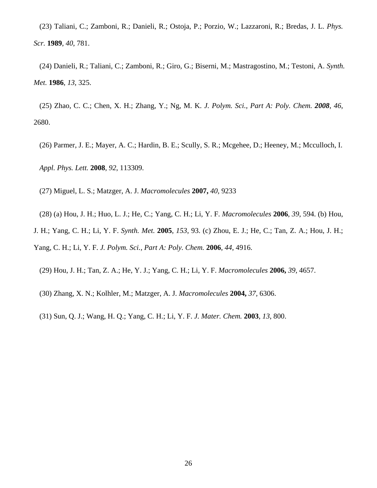(23) Taliani, C.; Zamboni, R.; Danieli, R.; Ostoja, P.; Porzio, W.; Lazzaroni, R.; Bredas, J. L. *Phys. Scr.* **1989**, *40*, 781.

(24) Danieli, R.; Taliani, C.; Zamboni, R.; Giro, G.; Biserni, M.; Mastragostino, M.; Testoni, A. *Synth. Met.* **1986**, *13*, 325.

(25) Zhao, C. C.; Chen, X. H.; Zhang, Y.; Ng, M. K. *J. Polym. Sci., Part A: Poly. Chem. 2008*, *46*, 2680.

(26) Parmer, J. E.; Mayer, A. C.; Hardin, B. E.; Scully, S. R.; Mcgehee, D.; Heeney, M.; Mcculloch, I. *Appl. Phys. Lett.* **2008**, *92*, 113309.

(27) Miguel, L. S.; Matzger, A. J. *Macromolecules* **2007,** *40,* 9233

(28) (a) Hou, J. H.; Huo, L. J.; He, C.; Yang, C. H.; Li, Y. F. *Macromolecules* **2006**, *39*, 594. (b) Hou,

J. H.; Yang, C. H.; Li, Y. F. *Synth. Met.* **2005**, *153*, 93. (c) Zhou, E. J.; He, C.; Tan, Z. A.; Hou, J. H.; Yang, C. H.; Li, Y. F. *J. Polym. Sci., Part A: Poly. Chem.* **2006**, *44*, 4916.

(29) Hou, J. H.; Tan, Z. A.; He, Y. J.; Yang, C. H.; Li, Y. F. *Macromolecules* **2006,** *39,* 4657.

(30) Zhang, X. N.; Kolhler, M.; Matzger, A. J. *Macromolecules* **2004,** *37,* 6306.

(31) Sun, Q. J.; Wang, H. Q.; Yang, C. H.; Li, Y. F. *J. Mater. Chem.* **2003**, *13*, 800.